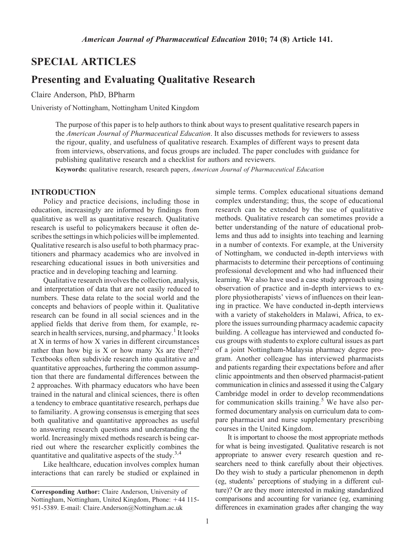# SPECIAL ARTICLES

# Presenting and Evaluating Qualitative Research

Claire Anderson, PhD, BPharm

Univeristy of Nottingham, Nottingham United Kingdom

The purpose of this paper is to help authors to think about ways to present qualitative research papers in the American Journal of Pharmaceutical Education. It also discusses methods for reviewers to assess the rigour, quality, and usefulness of qualitative research. Examples of different ways to present data from interviews, observations, and focus groups are included. The paper concludes with guidance for publishing qualitative research and a checklist for authors and reviewers.

Keywords: qualitative research, research papers, American Journal of Pharmaceutical Education

# INTRODUCTION

Policy and practice decisions, including those in education, increasingly are informed by findings from qualitative as well as quantitative research. Qualitative research is useful to policymakers because it often describes the settings in which policies will be implemented. Qualitative research is also useful to both pharmacy practitioners and pharmacy academics who are involved in researching educational issues in both universities and practice and in developing teaching and learning.

Qualitative research involves the collection, analysis, and interpretation of data that are not easily reduced to numbers. These data relate to the social world and the concepts and behaviors of people within it. Qualitative research can be found in all social sciences and in the applied fields that derive from them, for example, research in health services, nursing, and pharmacy.<sup>1</sup> It looks at X in terms of how X varies in different circumstances rather than how big is X or how many Xs are there?<sup>2</sup> Textbooks often subdivide research into qualitative and quantitative approaches, furthering the common assumption that there are fundamental differences between the 2 approaches. With pharmacy educators who have been trained in the natural and clinical sciences, there is often a tendency to embrace quantitative research, perhaps due to familiarity. A growing consensus is emerging that sees both qualitative and quantitative approaches as useful to answering research questions and understanding the world. Increasingly mixed methods research is being carried out where the researcher explicitly combines the quantitative and qualitative aspects of the study.<sup>3,4</sup>

Like healthcare, education involves complex human interactions that can rarely be studied or explained in simple terms. Complex educational situations demand complex understanding; thus, the scope of educational research can be extended by the use of qualitative methods. Qualitative research can sometimes provide a better understanding of the nature of educational problems and thus add to insights into teaching and learning in a number of contexts. For example, at the University of Nottingham, we conducted in-depth interviews with pharmacists to determine their perceptions of continuing professional development and who had influenced their learning. We also have used a case study approach using observation of practice and in-depth interviews to explore physiotherapists' views of influences on their leaning in practice. We have conducted in-depth interviews with a variety of stakeholders in Malawi, Africa, to explore the issues surrounding pharmacy academic capacity building. A colleague has interviewed and conducted focus groups with students to explore cultural issues as part of a joint Nottingham-Malaysia pharmacy degree program. Another colleague has interviewed pharmacists and patients regarding their expectations before and after clinic appointments and then observed pharmacist-patient communication in clinics and assessed it using the Calgary Cambridge model in order to develop recommendations for communication skills training.<sup>5</sup> We have also performed documentary analysis on curriculum data to compare pharmacist and nurse supplementary prescribing courses in the United Kingdom.

It is important to choose the most appropriate methods for what is being investigated. Qualitative research is not appropriate to answer every research question and researchers need to think carefully about their objectives. Do they wish to study a particular phenomenon in depth (eg, students' perceptions of studying in a different culture)? Or are they more interested in making standardized comparisons and accounting for variance (eg, examining differences in examination grades after changing the way

Corresponding Author: Claire Anderson, University of Nottingham, Nottingham, United Kingdom, Phone: +44 115-951-5389. E-mail: Claire.Anderson@Nottingham.ac.uk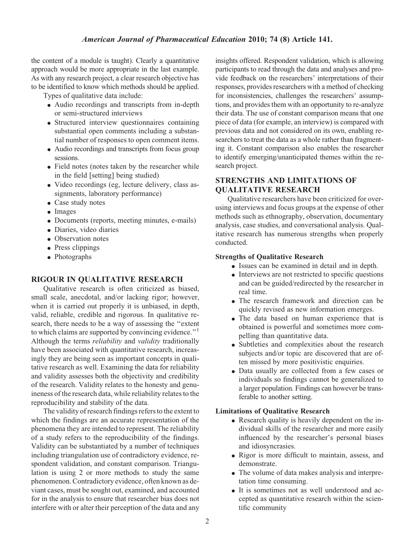the content of a module is taught). Clearly a quantitative approach would be more appropriate in the last example. As with any research project, a clear research objective has to be identified to know which methods should be applied.

Types of qualitative data include:

- Audio recordings and transcripts from in-depth or semi-structured interviews
- Structured interview questionnaires containing substantial open comments including a substantial number of responses to open comment items.
- Audio recordings and transcripts from focus group sessions.
- Field notes (notes taken by the researcher while in the field [setting] being studied)
- Video recordings (eg, lecture delivery, class assignments, laboratory performance)
- Case study notes
- Images
- Documents (reports, meeting minutes, e-mails)
- Diaries, video diaries
- Observation notes
- $\bullet$  Press clippings
- Photographs

# RIGOUR IN QUALITATIVE RESEARCH

Qualitative research is often criticized as biased, small scale, anecdotal, and/or lacking rigor; however, when it is carried out properly it is unbiased, in depth, valid, reliable, credible and rigorous. In qualitative research, there needs to be a way of assessing the ''extent to which claims are supported by convincing evidence."<sup>1</sup> Although the terms reliability and validity traditionally have been associated with quantitative research, increasingly they are being seen as important concepts in qualitative research as well. Examining the data for reliability and validity assesses both the objectivity and credibility of the research. Validity relates to the honesty and genuineness of the research data, while reliability relates to the reproducibility and stability of the data.

The validity of research findings refers to the extent to which the findings are an accurate representation of the phenomena they are intended to represent. The reliability of a study refers to the reproducibility of the findings. Validity can be substantiated by a number of techniques including triangulation use of contradictory evidence, respondent validation, and constant comparison. Triangulation is using 2 or more methods to study the same phenomenon. Contradictory evidence, often known as deviant cases, must be sought out, examined, and accounted for in the analysis to ensure that researcher bias does not interfere with or alter their perception of the data and any

insights offered. Respondent validation, which is allowing participants to read through the data and analyses and provide feedback on the researchers' interpretations of their responses, provides researchers with a method of checking for inconsistencies, challenges the researchers' assumptions, and provides them with an opportunity to re-analyze their data. The use of constant comparison means that one piece of data (for example, an interview) is compared with previous data and not considered on its own, enabling researchers to treat the data as a whole rather than fragmenting it. Constant comparison also enables the researcher to identify emerging/unanticipated themes within the research project.

# STRENGTHS AND LIMITATIONS OF QUALITATIVE RESEARCH

Qualitative researchers have been criticized for overusing interviews and focus groups at the expense of other methods such as ethnography, observation, documentary analysis, case studies, and conversational analysis. Qualitative research has numerous strengths when properly conducted.

# Strengths of Qualitative Research

- Issues can be examined in detail and in depth.
- Interviews are not restricted to specific questions and can be guided/redirected by the researcher in real time.
- The research framework and direction can be quickly revised as new information emerges.
- The data based on human experience that is obtained is powerful and sometimes more compelling than quantitative data.
- Subtleties and complexities about the research subjects and/or topic are discovered that are often missed by more positivistic enquiries.
- Data usually are collected from a few cases or individuals so findings cannot be generalized to a larger population. Findings can however be transferable to another setting.

### Limitations of Qualitative Research

- Research quality is heavily dependent on the individual skills of the researcher and more easily influenced by the researcher's personal biases and idiosyncrasies.
- Rigor is more difficult to maintain, assess, and demonstrate.
- The volume of data makes analysis and interpretation time consuming.
- It is sometimes not as well understood and accepted as quantitative research within the scientific community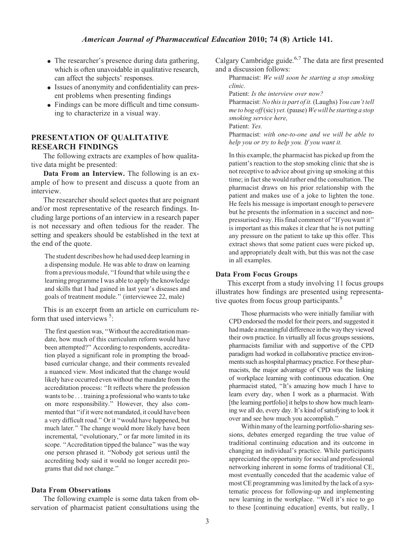- $\bullet$  The researcher's presence during data gathering, which is often unavoidable in qualitative research, can affect the subjects' responses.
- Issues of anonymity and confidentiality can present problems when presenting findings
- Findings can be more difficult and time consuming to characterize in a visual way.

# PRESENTATION OF QUALITATIVE RESEARCH FINDINGS

The following extracts are examples of how qualitative data might be presented:

Data From an Interview. The following is an example of how to present and discuss a quote from an interview.

The researcher should select quotes that are poignant and/or most representative of the research findings. Including large portions of an interview in a research paper is not necessary and often tedious for the reader. The setting and speakers should be established in the text at the end of the quote.

The student describes how he had used deep learning in a dispensing module. He was able to draw on learning from a previous module, ''I found that while using the e learning programme I was able to apply the knowledge and skills that I had gained in last year's diseases and goals of treatment module.'' (interviewee 22, male)

This is an excerpt from an article on curriculum reform that used interviews<sup>5</sup>:

The first question was, ''Without the accreditation mandate, how much of this curriculum reform would have been attempted?'' According to respondents, accreditation played a significant role in prompting the broadbased curricular change, and their comments revealed a nuanced view. Most indicated that the change would likely have occurred even without the mandate from the accreditation process: ''It reflects where the profession wants to be ... training a professional who wants to take on more responsibility.'' However, they also commented that ''if it were not mandated, it could have been a very difficult road.'' Or it ''would have happened, but much later.'' The change would more likely have been incremental, ''evolutionary,'' or far more limited in its scope. ''Accreditation tipped the balance'' was the way one person phrased it. ''Nobody got serious until the accrediting body said it would no longer accredit programs that did not change.''

### Data From Observations

The following example is some data taken from observation of pharmacist patient consultations using the Calgary Cambridge guide. $6,7$  The data are first presented and a discussion follows:

Pharmacist: We will soon be starting a stop smoking clinic.

Patient: Is the interview over now?

Pharmacist: No this is part of it. (Laughs) You can't tell me to bog off(sic) yet. (pause) We will be starting a stop smoking service here, Patient: Yes.

Pharmacist: with one-to-one and we will be able to help you or try to help you. If you want it.

In this example, the pharmacist has picked up from the patient's reaction to the stop smoking clinic that she is not receptive to advice about giving up smoking at this time; in fact she would rather end the consultation. The pharmacist draws on his prior relationship with the patient and makes use of a joke to lighten the tone. He feels his message is important enough to persevere but he presents the information in a succinct and nonpressurised way. His final comment of ''If you want it'' is important as this makes it clear that he is not putting any pressure on the patient to take up this offer. This extract shows that some patient cues were picked up, and appropriately dealt with, but this was not the case in all examples.

#### Data From Focus Groups

This excerpt from a study involving 11 focus groups illustrates how findings are presented using representative quotes from focus group participants.<sup>8</sup>

Those pharmacists who were initially familiar with CPD endorsed the model for their peers, and suggested it had made a meaningful difference in the way they viewed their own practice. In virtually all focus groups sessions, pharmacists familiar with and supportive of the CPD paradigm had worked in collaborative practice environments such as hospital pharmacy practice. For these pharmacists, the major advantage of CPD was the linking of workplace learning with continuous education. One pharmacist stated, ''It's amazing how much I have to learn every day, when I work as a pharmacist. With [the learning portfolio] it helps to show how much learning we all do, every day. It's kind of satisfying to look it over and see how much you accomplish.''

Within many of the learning portfolio-sharing sessions, debates emerged regarding the true value of traditional continuing education and its outcome in changing an individual's practice. While participants appreciated the opportunity for social and professional networking inherent in some forms of traditional CE, most eventually conceded that the academic value of most CE programming was limited by the lack of a systematic process for following-up and implementing new learning in the workplace. ''Well it's nice to go to these [continuing education] events, but really, I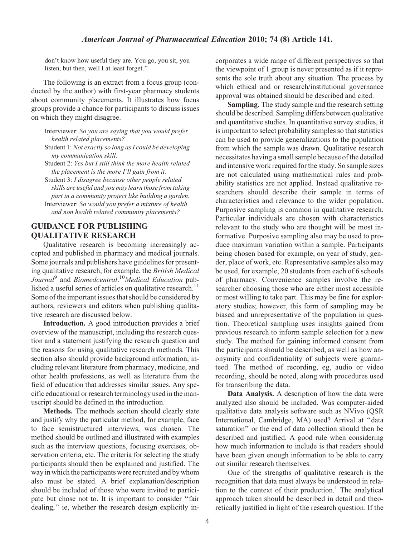don't know how useful they are. You go, you sit, you listen, but then, well I at least forget.''

The following is an extract from a focus group (conducted by the author) with first-year pharmacy students about community placements. It illustrates how focus groups provide a chance for participants to discuss issues on which they might disagree.

Interviewer: So you are saying that you would prefer health related placements?

- Student 1: Not exactly so long as I could be developing my communication skill.
- Student 2: Yes but I still think the more health related the placement is the more I'll gain from it.
- Student 3: I disagree because other people related skills are useful and you may learn those from taking part in a community project like building a garden. Interviewer: So would you prefer a mixture of health and non health related community placements?

# GUIDANCE FOR PUBLISHING QUALITATIVE RESEARCH

Qualitative research is becoming increasingly accepted and published in pharmacy and medical journals. Some journals and publishers have guidelines for presenting qualitative research, for example, the British Medical Journal<sup>9</sup> and Biomedcentral.<sup>10</sup>Medical Education published a useful series of articles on qualitative research.<sup>11</sup> Some of the important issues that should be considered by authors, reviewers and editors when publishing qualitative research are discussed below.

Introduction. A good introduction provides a brief overview of the manuscript, including the research question and a statement justifying the research question and the reasons for using qualitative research methods. This section also should provide background information, including relevant literature from pharmacy, medicine, and other health professions, as well as literature from the field of education that addresses similar issues. Any specific educational or research terminology used in the manuscript should be defined in the introduction.

Methods. The methods section should clearly state and justify why the particular method, for example, face to face semistructured interviews, was chosen. The method should be outlined and illustrated with examples such as the interview questions, focusing exercises, observation criteria, etc. The criteria for selecting the study participants should then be explained and justified. The way in which the participants were recruited and by whom also must be stated. A brief explanation/description should be included of those who were invited to participate but chose not to. It is important to consider ''fair dealing,'' ie, whether the research design explicitly incorporates a wide range of different perspectives so that the viewpoint of 1 group is never presented as if it represents the sole truth about any situation. The process by which ethical and or research/institutional governance approval was obtained should be described and cited.

Sampling. The study sample and the research setting should be described. Sampling differs between qualitative and quantitative studies. In quantitative survey studies, it is important to select probability samples so that statistics can be used to provide generalizations to the population from which the sample was drawn. Qualitative research necessitates having a small sample because of the detailed and intensive work required for the study. So sample sizes are not calculated using mathematical rules and probability statistics are not applied. Instead qualitative researchers should describe their sample in terms of characteristics and relevance to the wider population. Purposive sampling is common in qualitative research. Particular individuals are chosen with characteristics relevant to the study who are thought will be most informative. Purposive sampling also may be used to produce maximum variation within a sample. Participants being chosen based for example, on year of study, gender, place of work, etc. Representative samples also may be used, for example, 20 students from each of 6 schools of pharmacy. Convenience samples involve the researcher choosing those who are either most accessible or most willing to take part. This may be fine for exploratory studies; however, this form of sampling may be biased and unrepresentative of the population in question. Theoretical sampling uses insights gained from previous research to inform sample selection for a new study. The method for gaining informed consent from the participants should be described, as well as how anonymity and confidentiality of subjects were guaranteed. The method of recording, eg, audio or video recording, should be noted, along with procedures used for transcribing the data.

Data Analysis. A description of how the data were analyzed also should be included. Was computer-aided qualitative data analysis software such as NVivo (QSR International, Cambridge, MA) used? Arrival at ''data saturation'' or the end of data collection should then be described and justified. A good rule when considering how much information to include is that readers should have been given enough information to be able to carry out similar research themselves.

One of the strengths of qualitative research is the recognition that data must always be understood in relation to the context of their production.<sup>1</sup> The analytical approach taken should be described in detail and theoretically justified in light of the research question. If the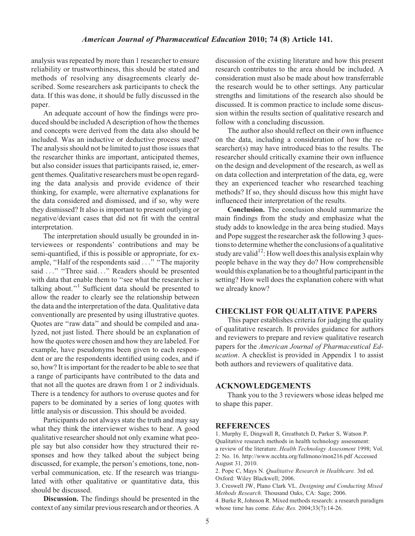analysis was repeated by more than 1 researcher to ensure reliability or trustworthiness, this should be stated and methods of resolving any disagreements clearly described. Some researchers ask participants to check the data. If this was done, it should be fully discussed in the paper.

An adequate account of how the findings were produced should be included A description of how the themes and concepts were derived from the data also should be included. Was an inductive or deductive process used? The analysis should not be limited to just those issues that the researcher thinks are important, anticipated themes, but also consider issues that participants raised, ie, emergent themes. Qualitative researchers must be open regarding the data analysis and provide evidence of their thinking, for example, were alternative explanations for the data considered and dismissed, and if so, why were they dismissed? It also is important to present outlying or negative/deviant cases that did not fit with the central interpretation.

The interpretation should usually be grounded in interviewees or respondents' contributions and may be semi-quantified, if this is possible or appropriate, for example, "Half of the respondents said ..." "The majority said ..." "Three said..." Readers should be presented with data that enable them to ''see what the researcher is talking about."<sup>1</sup> Sufficient data should be presented to allow the reader to clearly see the relationship between the data and the interpretation of the data. Qualitative data conventionally are presented by using illustrative quotes. Quotes are ''raw data'' and should be compiled and analyzed, not just listed. There should be an explanation of how the quotes were chosen and how they are labeled. For example, have pseudonyms been given to each respondent or are the respondents identified using codes, and if so, how? It is important for the reader to be able to see that a range of participants have contributed to the data and that not all the quotes are drawn from 1 or 2 individuals. There is a tendency for authors to overuse quotes and for papers to be dominated by a series of long quotes with little analysis or discussion. This should be avoided.

Participants do not always state the truth and may say what they think the interviewer wishes to hear. A good qualitative researcher should not only examine what people say but also consider how they structured their responses and how they talked about the subject being discussed, for example, the person's emotions, tone, nonverbal communication, etc. If the research was triangulated with other qualitative or quantitative data, this should be discussed.

Discussion. The findings should be presented in the context of any similar previous research and or theories. A

discussion of the existing literature and how this present research contributes to the area should be included. A consideration must also be made about how transferrable the research would be to other settings. Any particular strengths and limitations of the research also should be discussed. It is common practice to include some discussion within the results section of qualitative research and follow with a concluding discussion.

The author also should reflect on their own influence on the data, including a consideration of how the researcher(s) may have introduced bias to the results. The researcher should critically examine their own influence on the design and development of the research, as well as on data collection and interpretation of the data, eg, were they an experienced teacher who researched teaching methods? If so, they should discuss how this might have influenced their interpretation of the results.

Conclusion. The conclusion should summarize the main findings from the study and emphasize what the study adds to knowledge in the area being studied. Mays and Pope suggest the researcher ask the following 3 questions to determine whether the conclusions of a qualitative study are valid<sup>12</sup>: How well does this analysis explain why people behave in the way they do? How comprehensible would this explanation be to a thoughtful participant in the setting? How well does the explanation cohere with what we already know?

### CHECKLIST FOR QUALITATIVE PAPERS

This paper establishes criteria for judging the quality of qualitative research. It provides guidance for authors and reviewers to prepare and review qualitative research papers for the American Journal of Pharmaceutical Education. A checklist is provided in Appendix 1 to assist both authors and reviewers of qualitative data.

#### ACKNOWLEDGEMENTS

Thank you to the 3 reviewers whose ideas helped me to shape this paper.

#### **REFERENCES**

1. Murphy E, Dingwall R, Greatbatch D, Parker S, Watson P. Qualitative research methods in health technology assessment: a review of the literature. Health Technology Assessment 1998; Vol. 2: No. 16. http://www.ncchta.org/fullmono/mon216.pdf Accessed August 31, 2010.

2. Pope C, Mays N. Qualitative Research in Healthcare. 3rd ed. Oxford: Wiley Blackwell; 2006.

3. Creswell JW, Plano Clark VL. Designing and Conducting Mixed Methods Research. Thousand Oaks, CA: Sage; 2006.

4. Burke R, Johnson R. Mixed methods research: a research paradigm whose time has come. Educ Res. 2004;33(7):14-26.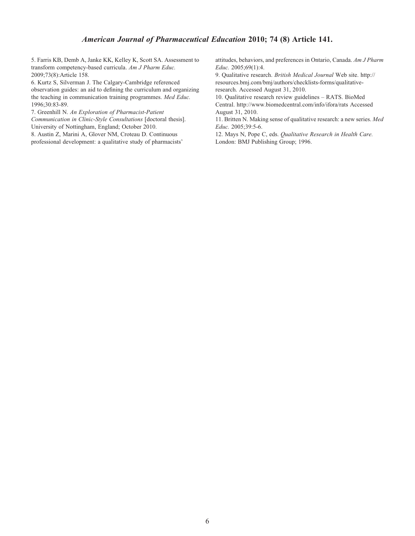# American Journal of Pharmaceutical Education 2010; 74 (8) Article 141.

5. Farris KB, Demb A, Janke KK, Kelley K, Scott SA. Assessment to transform competency-based curricula. Am J Pharm Educ. 2009;73(8):Article 158.

6. Kurtz S, Silverman J. The Calgary-Cambridge referenced observation guides: an aid to defining the curriculum and organizing the teaching in communication training programmes. Med Educ. 1996;30:83-89.

7. Greenhill N. An Exploration of Pharmacist-Patient Communication in Clinic-Style Consultations [doctoral thesis]. University of Nottingham, England; October 2010.

8. Austin Z, Marini A, Glover NM, Croteau D. Continuous professional development: a qualitative study of pharmacists' attitudes, behaviors, and preferences in Ontario, Canada. Am J Pharm Educ. 2005;69(1):4.

9. Qualitative research. British Medical Journal Web site. http:// resources.bmj.com/bmj/authors/checklists-forms/qualitativeresearch. Accessed August 31, 2010.

10. Qualitative research review guidelines – RATS. BioMed Central. http://www.biomedcentral.com/info/ifora/rats Accessed August 31, 2010.

11. Britten N. Making sense of qualitative research: a new series. Med Educ. 2005;39:5-6.

12. Mays N, Pope C, eds. Qualitative Research in Health Care. London: BMJ Publishing Group; 1996.